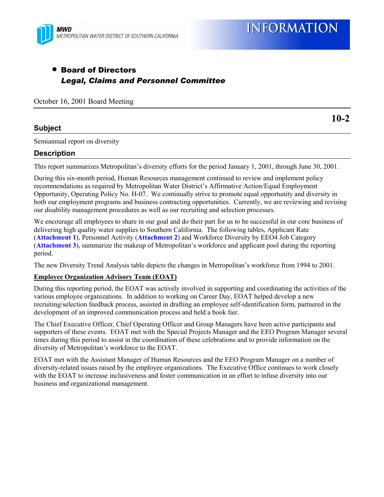

# • Board of Directors *Legal, Claims and Personnel Committee*

October 16, 2001 Board Meeting

## **Subject**

Semiannual report on diversity

## **Description**

This report summarizes Metropolitan's diversity efforts for the period January 1, 2001, through June 30, 2001.

During this six-month period, Human Resources management continued to review and implement policy recommendations as required by Metropolitan Water District's Affirmative Action/Equal Employment Opportunity, Operating Policy No. H-07. We continually strive to promote equal opportunity and diversity in both our employment programs and business contracting opportunities. Currently, we are reviewing and revising our disability management procedures as well as our recruiting and selection processes.

We encourage all employees to share in our goal and do their part for us to be successful in our core business of delivering high quality water supplies to Southern California. The following tables, Applicant Rate (**Attachment 1**), Personnel Activity (**Attachment 2**) and Workforce Diversity by EEO4 Job Category (**Attachment 3**), summarize the makeup of Metropolitan's workforce and applicant pool during the reporting period.

The new Diversity Trend Analysis table depicts the changes in Metropolitan's workforce from 1994 to 2001.

#### **Employee Organization Advisory Team (EOAT)**

During this reporting period, the EOAT was actively involved in supporting and coordinating the activities of the various employee organizations. In addition to working on Career Day, EOAT helped develop a new recruiting/selection feedback process, assisted in drafting an employee self-identification form, partnered in the development of an improved communication process and held a book fair.

The Chief Executive Officer, Chief Operating Officer and Group Managers have been active participants and supporters of these events. EOAT met with the Special Projects Manager and the EEO Program Manager several times during this period to assist in the coordination of these celebrations and to provide information on the diversity of Metropolitan's workforce to the EOAT.

EOAT met with the Assistant Manager of Human Resources and the EEO Program Manager on a number of diversity-related issues raised by the employee organizations. The Executive Office continues to work closely with the EOAT to increase inclusiveness and foster communication in an effort to infuse diversity into our business and organizational management.

**10-2**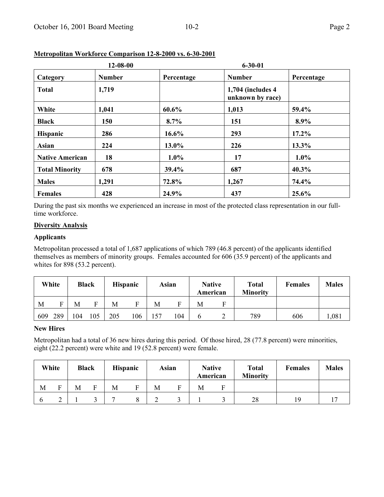|                        | $12 - 08 - 00$ |            | $6 - 30 - 01$                          |            |
|------------------------|----------------|------------|----------------------------------------|------------|
| Category               | <b>Number</b>  | Percentage | <b>Number</b>                          | Percentage |
| <b>Total</b>           | 1,719          |            | 1,704 (includes 4)<br>unknown by race) |            |
| White                  | 1,041          | 60.6%      | 1,013                                  | 59.4%      |
| <b>Black</b>           | <b>150</b>     | $8.7\%$    | 151                                    | 8.9%       |
| <b>Hispanic</b>        | 286            | $16.6\%$   | 293                                    | $17.2\%$   |
| Asian                  | 224            | 13.0%      | 226                                    | 13.3%      |
| <b>Native American</b> | 18             | $1.0\%$    | 17                                     | $1.0\%$    |
| <b>Total Minority</b>  | 678            | 39.4%      | 687                                    | 40.3%      |
| <b>Males</b>           | 1,291          | 72.8%      | 1,267                                  | 74.4%      |
| <b>Females</b>         | 428            | 24.9%      | 437                                    | 25.6%      |

## **Metropolitan Workforce Comparison 12-8-2000 vs. 6-30-2001**

During the past six months we experienced an increase in most of the protected class representation in our fulltime workforce.

## **Diversity Analysis**

#### **Applicants**

Metropolitan processed a total of 1,687 applications of which 789 (46.8 percent) of the applicants identified themselves as members of minority groups. Females accounted for 606 (35.9 percent) of the applicants and whites for 898 (53.2 percent).

|     | White |     | Black |     | <b>Hispanic</b> | Asian |     | <b>Native</b><br>American |  | <b>Total</b><br><b>Minority</b> | <b>Females</b> | <b>Males</b> |
|-----|-------|-----|-------|-----|-----------------|-------|-----|---------------------------|--|---------------------------------|----------------|--------------|
| M   | ᠇     | М   | Ē     | М   | ᠇               | М     |     | М                         |  |                                 |                |              |
| 609 | 289   | 104 | 105   | 205 | 106             | 157   | 104 |                           |  | 789                             | 606            | ,081         |

## **New Hires**

Metropolitan had a total of 36 new hires during this period. Of those hired, 28 (77.8 percent) were minorities, eight (22.2 percent) were white and 19 (52.8 percent) were female.

| White |   | <b>Black</b> |   | <b>Hispanic</b> |   |   | Asian | <b>Native</b> |  | <b>Total</b><br><b>Minority</b> | <b>Females</b> | <b>Males</b> |
|-------|---|--------------|---|-----------------|---|---|-------|---------------|--|---------------------------------|----------------|--------------|
| M     | Е | М            | F | М               | Е | М | F     | American<br>М |  |                                 |                |              |
|       | ⌒ |              |   | $\overline{ }$  | O |   |       |               |  | 28                              | 19             |              |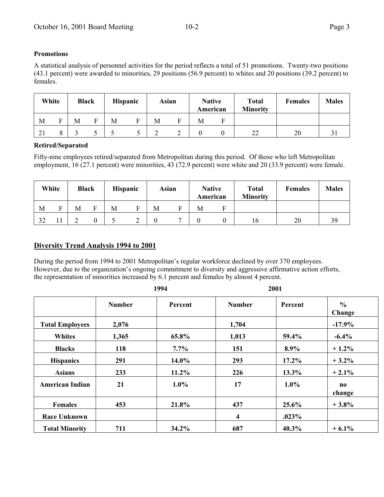## **Promotions**

A statistical analysis of personnel activities for the period reflects a total of 51 promotions. Twenty-two positions (43.1 percent) were awarded to minorities, 29 positions (56.9 percent) to whites and 20 positions (39.2 percent) to females.

| White |          | <b>Black</b> |   | <b>Hispanic</b> |   |   | Asian | <b>Native</b>      |  | <b>Total</b><br><b>Minority</b> | <b>Females</b> | <b>Males</b> |
|-------|----------|--------------|---|-----------------|---|---|-------|--------------------|--|---------------------------------|----------------|--------------|
| М     | Ē        | М            | Е | М               | Ð | М |       | American<br>М<br>н |  |                                 |                |              |
| ∠ ⊥   | $\Omega$ |              |   |                 |   |   |       |                    |  | 22                              | 20             |              |

## **Retired/Separated**

Fifty-nine employees retired/separated from Metropolitan during this period. Of those who left Metropolitan employment, 16 (27.1 percent) were minorities, 43 (72.9 percent) were white and 20 (33.9 percent) were female.

|    | White | <b>Black</b> |   | <b>Hispanic</b> |   | Asian | <b>Native</b> |  | <b>Total</b><br><b>Minority</b> | <b>Females</b> | <b>Males</b> |
|----|-------|--------------|---|-----------------|---|-------|---------------|--|---------------------------------|----------------|--------------|
| M  | E     | М            | F | M               | Е | M     | American<br>M |  |                                 |                |              |
| 32 |       |              |   |                 | ∽ |       |               |  | 16                              | 20             | 39           |

## **Diversity Trend Analysis 1994 to 2001**

During the period from 1994 to 2001 Metropolitan's regular workforce declined by over 370 employees. However, due to the organization's ongoing commitment to diversity and aggressive affirmative action efforts, the representation of minorities increased by 6.1 percent and females by almost 4 percent.

|                        |               | 1994    |               | 2001     |                         |
|------------------------|---------------|---------|---------------|----------|-------------------------|
|                        | <b>Number</b> | Percent | <b>Number</b> | Percent  | $\frac{6}{9}$<br>Change |
| <b>Total Employees</b> | 2,076         |         | 1,704         |          | $-17.9%$                |
| <b>Whites</b>          | 1,365         | 65.8%   | 1,013         | 59.4%    | $-6.4\%$                |
| <b>Blacks</b>          | 118           | $7.7\%$ | 151           | 8.9%     | $+1.2\%$                |
| <b>Hispanics</b>       | 291           | 14.0%   | 293           | $17.2\%$ | $+3.2\%$                |
| <b>Asians</b>          | 233           | 11.2%   | 226           | 13.3%    | $+2.1%$                 |
| <b>American Indian</b> | 21            | $1.0\%$ | 17            | $1.0\%$  | no<br>change            |
| <b>Females</b>         | 453           | 21.8%   | 437           | $25.6\%$ | $+3.8%$                 |
| <b>Race Unknown</b>    |               |         | 4             | .023%    |                         |
| <b>Total Minority</b>  | 711           | 34.2%   | 687           | $40.3\%$ | $+6.1%$                 |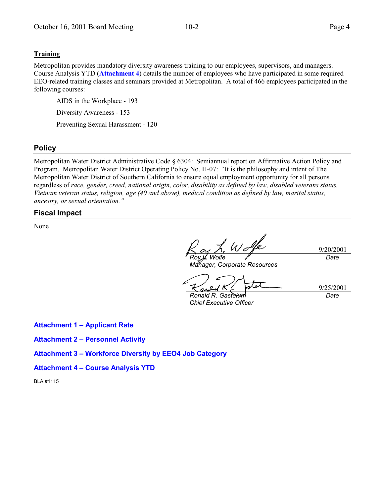### **Training**

Metropolitan provides mandatory diversity awareness training to our employees, supervisors, and managers. Course Analysis YTD (**Attachment 4**) details the number of employees who have participated in some required EEO-related training classes and seminars provided at Metropolitan. A total of 466 employees participated in the following courses:

AIDS in the Workplace - 193 Diversity Awareness - 153 Preventing Sexual Harassment - 120

## **Policy**

Metropolitan Water District Administrative Code ß 6304: Semiannual report on Affirmative Action Policy and Program. Metropolitan Water District Operating Policy No. H-07: "It is the philosophy and intent of The Metropolitan Water District of Southern California to ensure equal employment opportunity for all persons regardless of *race, gender, creed, national origin, color, disability as defined by law, disabled veterans status, Vietnam veteran status, religion, age (40 and above), medical condition as defined by law, marital status, ancestry, or sexual orientation.*"

## **Fiscal Impact**

None

Wolfe *Roy L. Wolfe*

*Manager, Corporate Resources*

9/25/2001

*Ronald R. Gastelum Chief Executive Officer*

*Date*

9/20/2001

*Date*

**Attachment 1 - Applicant Rate** 

**Attachment 2 - Personnel Activity** 

**Attachment 3 - Workforce Diversity by EEO4 Job Category** 

**Attachment 4 - Course Analysis YTD** 

BLA #1115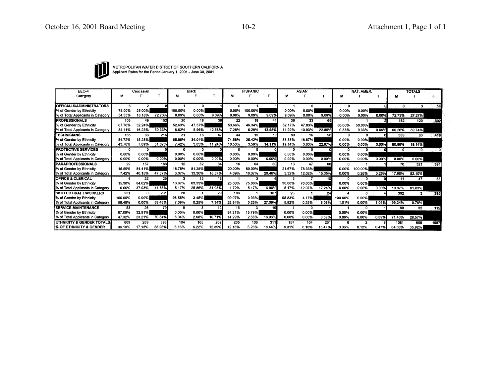

METROPOLITAN WATER DISTRICT OF SOUTHERN CALIFORNIA<br>Applicant Rates for the Period January 1, 2001 - June 30, 2001

| EEO-4                                |         | Caucasian |        |          | Black    |        |          | <b>HISPANIC</b> |        |        | <b>ASIAN</b> |        |          | NAT. AMER.   |       |        | <b>TOTALS</b> |      |
|--------------------------------------|---------|-----------|--------|----------|----------|--------|----------|-----------------|--------|--------|--------------|--------|----------|--------------|-------|--------|---------------|------|
| Category                             | м       |           |        | м        |          |        | м        | Е               |        | м      |              |        | м        |              |       | м      |               |      |
| <b>IOFFICIALS/ADMINISTRATORS</b>     | а       | 2         |        |          | <b>n</b> |        |          |                 |        |        | 0            |        | o        |              | οI    | 8      | 3             |      |
| 1% of Gender by Ethnicity            | 75.00%  | 25.00%    |        | 100.00%  | 0.00%    |        | 0.00%    | 100.00%         |        | 0.00%  | 0.00%        |        | 0.00%    | 0.00%        |       |        |               |      |
| I% of Total Applicants in Category   | 54.55%  | 18.18%    | 72.73% | 9.09%    | 0.00%    | 9.09%  | 0.00%    | 9.09%           | 9.09%  | 9.09%  | 0.00%        | 9.09%  | 0.00%    | 0.00%        | 0.00% | 72.73% | 27.27%        |      |
| <b>PROFESSIONALS</b>                 | 103     | 49        | 152    | 20       | 18       | 38     | 22       | 19              | 41     | 36     | 33           | 69     |          |              |       | 182    | 120           | 302  |
| % of Gender by Ethnicity             | 67.76%  | 32.24%    |        | 52.63%   | 47.37%   |        | 53.66%   | 46.34%          |        | 52.17% | 47.83%       |        | 50.00%   | 50.00%       |       |        |               |      |
| ∥% of Total Applicants in Category   | 34.11%  | 16.23%    | 50.33% | 6.62%    | 5.96%    | 12.58% | 7.28%    | 6.29%           | 13.58% | 11.92% | 10.93%       | 22.85% | 0.33%    | 0.33%        | 0.66% | 60.26% | 39.74%        |      |
| <b>TECHNICIANS</b>                   | 183     | 33        | 216    | 31       | 16       | 47     | 44       | 15              | 59     | 80     | 16           | 96     | $\Omega$ | n.           | ΩI    | 338    | 80            | 418  |
| % of Gender by Ethnicity             | 84.72%  | 15.28%    |        | 65.96%   | 34.04%   |        | 74.58%   | 25.42%          |        | 83.33% | 16.67%       |        | 0.00%    | 0.00%        |       |        |               |      |
| % of Total Applicants in Category    | 43.78%  | 7.89%     | 51.67% | 7.42%    | 3.83%    | 11.24% | 10.53%   | 3.59%           | 14.11% | 19.14% | 3.83%        | 22.97% | 0.00%    | 0.00%        | 0.00% | 80.86% | 19.14%        |      |
| <b>PROTECTIVE SERVICES</b>           | n       | ∩         |        | $\Omega$ |          |        | $\Omega$ | n               |        | n      | n            |        | n        | n            |       | O      | Ю.            |      |
| % of Gender by Ethnicity             | 0.00%   | 0.00%     |        | 0.00%    | 0.00%    |        | 0.00%    | 0.00%           |        | 0.00%  | 0.00%        |        | 0.00%    | 0.00%        |       |        |               |      |
| 1% of Total Applicants in Category   | 0.00%   | 0.00%     | 0.00%  | 0.00%    | 0.00%    | 0.00%  | 0.00%    | 0.00%           | 0.00%  | 0.00%  | 0.00%        | 0.00%  | 0.00%    | 0.00%        | 0.00% | 0.00%  | 0.00%         |      |
| <b>PARAPROFESSIONALS</b>             | 29      | 157       | 186    | 12       | 52       | 64     | 16       | 64              | 80     | 13     | 47           | 60     | n        |              |       | 70     | 321           | 391  |
| % of Gender by Ethnicity             | 15.59%  | 84.41%    |        | 18.75%   | 81.25%   |        | 20.00%   | 80.00%          |        | 21.67% | 78.33%       |        | 0.00%    | 100.00%      |       |        |               |      |
| % of Total Applicants in Category    | 7.42%   | 40.15%    | 47.57% | 3.07%    | 13.30%   | 16.37% | 4.09%    | 16.37%          | 20.46% | 3.32%  | 12.02%       | 15.35% | 0.00%    | 0.26%        | 0.26% | 17.90% | 82.10%        |      |
| <b>IOFFICE &amp; CLERICAL</b>        |         | 22        | 26     | э        | 15       | 18     |          |                 |        | з      |              | 10     |          |              |       | 11     | 47            | 58   |
| % of Gender by Ethnicity             | 15.38%  | 84.62%    |        | 16.67%   | 83.33%   |        | 25.00%   | 75.00%          |        | 30.00% | 70.00%       |        | 0.00%    | 0.00%        |       |        |               |      |
| % of Total Applicants in Category    | 6.90%   | 37.93%    | 44.83% | 5.17%    | 25.86%   | 31.03% | 1.72%    | 5.17%           | 6.90%  | 5.17%  | 12.07%       | 17.24% | 0.00%    | 0.00%        | 0.00% | 18.97% | 81.03%        |      |
| <b>SKILLED CRAFT WORKERS</b>         | 231     |           | 231    | 28       |          | 29     | 106      |                 | 107    | 23     |              | 24     |          | <sup>o</sup> |       | 392    | з.            | 395  |
| 1% of Gender by Ethnicity            | 100.00% | 0.00%     |        | 96.55%   | 3.45%    |        | 99.07%   | 0.93%           |        | 95.83% | 4.17%        |        | 100.00%  | 0.00%        |       |        |               |      |
| II% of Total Applicants in Category  | 58.48%  | 0.00%     | 58.48% | 7.09%    | 0.25%    | 7.34%  | 26.84%   | 0.25%           | 27.09% | 5.82%  | 0.25%        | 6.08%  | 1.01%    | 0.00%        | 1.01% | 99.24% | 0.76%         |      |
| <b>SERVICE-MAINTENANCE</b>           | 53      | 26        | 79     | 9        |          | 12     | 16       | з               | 19     |        | Λ            |        |          | n            |       | 80     | 32            | 112  |
| % of Gender by Ethnicity             | 67.09%  | 32.91%    |        | 0.00%    | 0.00%    |        | 84.21%   | 15.79%          |        | 0.00%  | 0.00%        |        | 0.00%    | 0.00%        |       |        |               |      |
| % of Total Applicants in Category    | 47.32%  | 23.21%    | 70.54% | 8.04%    | 2.68%    | 10.71% | 14.29%   | 2.68%           | 16.96% | 0.00%  | 0.00%        | 0.89%  | 0.89%    | 0.00%        | 0.89% | 71.43% | 28.57%        |      |
| <b>ETHNICITY &amp; GENDER TOTALS</b> | 609     | 289       | 898    | 104      | 105      | 209    | 205      | 106             | 311    | 157    | 104          | 261    |          |              |       | 1081   | 606           | 1687 |
| I% OF ETHNICITY & GENDER             | 36.10%  | 17.13%    | 53.23% | 6.16%    | 6.22%    | 12.39% | 12.15%   | 6.28%           | 18.44% | 9.31%  | 6.16%        | 15.47% | 0.36%    | 0.12%        | 0.47% | 64.08% | 35.92%        |      |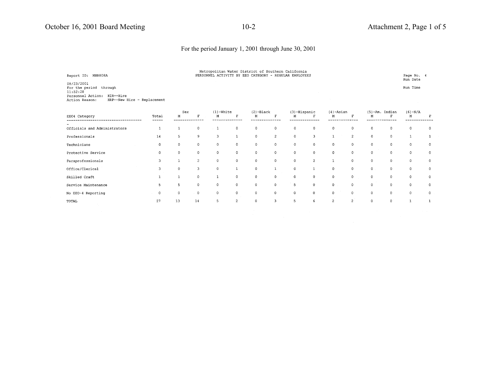No EEO-4 Reporting

 $_{\tt TOTAL}$ 

 $\mathbb{R}^d \times \mathbb{R}^d$ 

 $27$ 

 $\overline{0}$ 

13

 $\sim$  0

 $14$ 

#### For the period January 1, 2001 through June 30, 2001

| Report ID: MHR808A                                                                                                                     |                |                |                | Metropolitan Water District of Southern California<br>PERSONNEL ACTIVITY BY EEO CATEGORY - REGULAR EMPLOYEES |              |              |                |              |                |                |                |             |                   | Page No. 4<br>Run Date |             |
|----------------------------------------------------------------------------------------------------------------------------------------|----------------|----------------|----------------|--------------------------------------------------------------------------------------------------------------|--------------|--------------|----------------|--------------|----------------|----------------|----------------|-------------|-------------------|------------------------|-------------|
| 08/23/2001<br>For the period<br>through<br>11:52:28<br>Personnel Action:<br>HIR--Hire<br>HRP--New Hire - Replacement<br>Action Reason: |                |                |                |                                                                                                              |              |              |                |              |                |                |                |             |                   | Run Time               |             |
|                                                                                                                                        |                | Sex            |                | $(1)$ -White                                                                                                 |              | $(2)$ -Black |                | (3)-Hispanic |                | $(4)$ -Asian   |                |             | $(5)$ -Am. Indian | $(6) - N/A$            |             |
| EEO4 Category                                                                                                                          | Total<br>----- | М              | F              | M                                                                                                            | F            | М            | F              | м            |                | M              | F              | M           |                   | М                      | F           |
| Officials and Administrators                                                                                                           | $\mathbf{1}$   |                | 0              |                                                                                                              | 0            | 0            | $\mathbf{0}$   | 0            | $^{\circ}$     | $\mathbf 0$    | $\circ$        | $\mathbf 0$ | 0                 | 0                      | 0           |
| Professionals                                                                                                                          | 14             | 5 <sup>1</sup> | 9              | 3                                                                                                            |              | 0            | $\overline{c}$ | $\mathbf 0$  | 3              | $\mathbf{1}$   | $\overline{c}$ | $\mathbf 0$ | $\mathbf{0}$      | $\mathbf{1}$           |             |
| Technicians                                                                                                                            | $\circ$        | $\mathbf 0$    | $\mathbf 0$    | $\circ$                                                                                                      | $\circ$      | 0            | $\mathbf{0}$   | $\mathbf{0}$ | $\mathbf 0$    | $\mathsf{O}$   | $\mathbf 0$    | $\circ$     | $\mathbf 0$       | $\circ$                | $\mathbf 0$ |
| Protective Service                                                                                                                     | $\circ$        | $\Omega$       | $\mathbf 0$    | $\circ$                                                                                                      | $\circ$      | 0            | $\circ$        | 0            | $\mathbf 0$    | $\circ$        | $\mathbf 0$    | $\circ$     | $\mathbf 0$       | $\circ$                | $\mathbf 0$ |
| Paraprofessionals                                                                                                                      | 3              |                | $\overline{2}$ | $\circ$                                                                                                      | $\mathbf 0$  | $\mathbf 0$  | $\Omega$       | 0            | $\overline{c}$ | 1              | $\mathbf 0$    | $\mathbf 0$ | 0                 | 0                      | 0           |
| Office/Clerical                                                                                                                        | 3              | $\mathbf{0}$   | 3              | $\mathbf 0$                                                                                                  | $\mathbf{1}$ | $\circ$      |                | $\mathbf 0$  | $\mathbf{1}$   | 0              | $\mathbf 0$    | $\mathbf 0$ | 0                 | $\bf{0}$               | 0           |
| Skilled Craft                                                                                                                          |                |                | 0              |                                                                                                              | $\mathbf{0}$ | $\circ$      | 0              | $\mathbf 0$  | $\circ$        | $\mathsf{o}\,$ | $\mathbf{0}$   | $\mathbf 0$ | 0                 | $\mathbf 0$            | 0           |
| Service Maintenance                                                                                                                    | 5              | 5              | 0              | $\circ$                                                                                                      | 0            | 0            | 0              | 5            | $\circ$        | $\mathbf 0$    | $\circ$        | $\circ$     | $\mathbf 0$       | $\circ$                | 0           |

 $\begin{matrix} 0 & 0 & 0 & 0 \end{matrix}$ 

 $5\qquad \qquad 2$  $0$   $3$  $6\overline{6}$  $\overline{z}$  $\overline{\mathbf{2}}^{\mathcal{I}}$  $\circ$  $\overline{\phantom{a}}$  $5<sub>5</sub>$  $\mathbf{0}^+$  $\mathbf{1}$ 

 $\begin{array}{ccc} 0 & \hspace{1.5cm} & 0 \end{array}$ 

 $\bullet$ 

 $\circ$ 

 $\overline{0}$ 

 $\bullet$ 

 $\circ$ 

 $\bullet$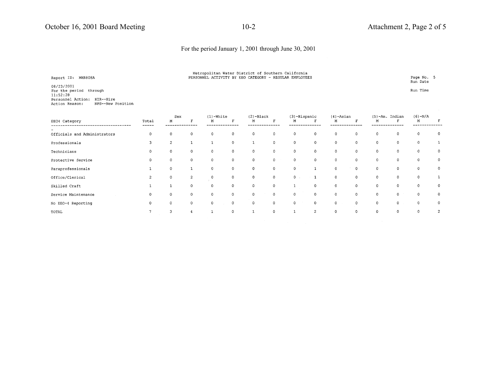# Metropolitan Water District of Southern California<br>PERSONNEL ACTIVITY BY EEO CATEGORY - REGULAR EMPLOYEES

Page No. 5 Run Date

Run Time

08/23/2001 For the period through  $11:52:28$ Personnel Action: HIR--Hire Action Reason: NPS--New Position

Report ID: MHR808A

|                              |                | Sex            |                | $(1)$ -White |              | $(2)$ -Black |              | $(3)$ -Hispanic |                | $(4)$ -Asian   |             |              | $(5)$ -Am. Indian | $(6) - N/A$ |                |
|------------------------------|----------------|----------------|----------------|--------------|--------------|--------------|--------------|-----------------|----------------|----------------|-------------|--------------|-------------------|-------------|----------------|
| EEO4 Category                | Total<br>----- | M              |                | M            | R            | M            | Ð            | м               |                | M              | F           | М            |                   | M           |                |
|                              |                |                |                |              |              | $\circ$      | $\circ$      |                 |                |                |             |              |                   |             | $^{\circ}$     |
| Officials and Administrators | 0              |                |                |              | $\mathbf 0$  |              |              | $\circ$         | $\mathbf 0$    | $\circ$        | 0           | $\circ$      | 0                 | 0           |                |
| Professionals                |                | $\overline{c}$ |                |              | $\mathbf 0$  |              | $\circ$      | $\circ$         | $\circ$        | $\circ$        | $\mathbf 0$ | $\circ$      | $\circ$           | $\circ$     |                |
| Technicians                  |                |                |                |              | $\Omega$     | $\mathbf 0$  | $\mathbf{0}$ | $\circ$         | $\circ$        | 0              | $\mathbf 0$ | $\circ$      | $\mathbf 0$       | $\mathbf 0$ | 0              |
| Protective Service           |                |                | $\Omega$       | $\Omega$     | $\mathbf{0}$ | $\mathbf 0$  | $\mathbf 0$  | $\mathbf{0}$    | $\circ$        | 0              | $\mathbf 0$ | 0            | 0                 | $\mathbf 0$ | 0              |
| Paraprofessionals            |                |                |                | $\Omega$     | $\Omega$     | $\mathbf 0$  | $\mathbf 0$  | $\mathbf 0$     |                | $\circ$        | $\mathbf 0$ | 0            | $\mathbf 0$       | $\circ$     | 0              |
| Office/Clerical              |                |                | $\overline{c}$ |              | $\Omega$     | $\mathbf 0$  | $\circ$      | $0$ .           | $\sim$ 1       | $\mathbf 0$    | $\mathbf 0$ | 0            | 0                 | $\Omega$    |                |
| Skilled Craft                |                |                | 0              | $\Omega$     | $\Omega$     | $\mathbf 0$  | 0            |                 | 0              | $\mathsf{o}\,$ | $\mathbf 0$ | 0            | $\mathbf 0$       | $\Omega$    | 0              |
| Service Maintenance          |                | O              | $\Omega$       | $\Omega$     | $\Omega$     | $\circ$      | $\Omega$     | 0               | $\mathbf{0}$   | $\circ$        | $\mathbf 0$ | $\mathbf{0}$ | $\mathbf 0$       | $\Omega$    | 0              |
| No EEO-4 Reporting           |                | $\Omega$       | $\Omega$       | $\Omega$     | 0            | 0            | 0            | 0               | $\mathbf 0$    | $\circ$        | $\circ$     | $\mathbf 0$  | $\mathbf{0}$      | 0           | 0              |
| TOTAL                        |                | 3              |                |              | $\mathbf{0}$ |              | $\mathbf 0$  |                 | $\overline{2}$ | $\mathbf 0$    | $\mathbf 0$ | $\circ$      | $\mathbf 0$       | $\Omega$    | $\overline{c}$ |
|                              |                |                |                |              |              |              |              |                 |                |                |             |              |                   |             |                |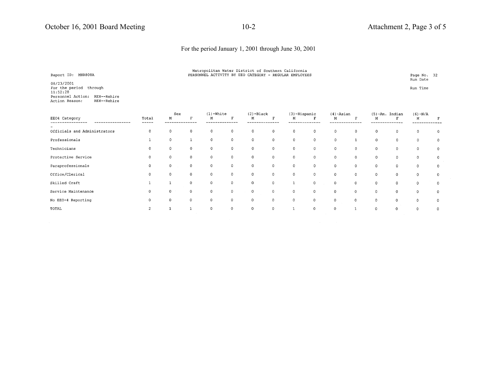Metropolitan Water District of Southern California<br>PERSONNEL ACTIVITY BY EEO CATEGORY - REGULAR EMPLOYEES

Page No. 32 Run Date

Run Time

08/23/2001 For the period through<br>11:52:28 Personnel Action: REH--Rehire Action Reason: REH--Rehire

Report ID: MHR808A

|                                   |                | Sex         |              | $(1)$ -White   |              | $(2)$ -Black |             | (3)-Hispanic |             | $(4)$ -Asian |             |          | $(5)$ -Am. Indian | $(6) - N/A$ |              |
|-----------------------------------|----------------|-------------|--------------|----------------|--------------|--------------|-------------|--------------|-------------|--------------|-------------|----------|-------------------|-------------|--------------|
| EE04 Category<br>---------------- | Total<br>----- | M           |              | М              | F            | М            | F           | M            | F           | М            | F           | М        |                   | М           |              |
|                                   |                |             |              |                |              |              |             |              |             |              |             |          |                   |             |              |
| Officials and Administrators      | 0              | $\Omega$    | $\Omega$     | $\mathbf 0$    | $\mathbf 0$  | 0            | $\circ$     | $\circ$      | $\mathbf 0$ | $\mathbf 0$  | $\circ$     | 0        | $\mathbf 0$       | $^{\circ}$  | $\Omega$     |
| Professionals                     |                | $\Omega$    |              | $\mathbf 0$    | $\mathbf{0}$ | $\mathsf O$  | $\circ$     | $\circ$      | $\circ$     | $\mathbf{0}$ |             | 0        | $\mathbf 0$       | $\mathbf 0$ | $\mathbf{0}$ |
| Technicians                       | $\Omega$       | $\Omega$    | $\Omega$     | $\circ$        | $\circ$      | 0            | $\circ$     | $\mathbf{0}$ | $\mathbf 0$ | 0            | $\mathbf 0$ | 0        | $\circ$           | $\circ$     | $\mathbf 0$  |
| Protective Service                |                | $\Omega$    | $\mathbf 0$  | $\mathbf 0$    | $\mathbf 0$  | 0            | $\circ$     | $\mathbf 0$  | $\circ$     | $\circ$      | $\mathbf 0$ | $\circ$  | 0                 | $\mathbf 0$ | $\circ$      |
| Paraprofessionals                 |                | $\mathbf 0$ | 0            | $\overline{0}$ | $\mathbf 0$  | 0            | $\mathbf 0$ | $\circ$      | 0           | $\mathbf 0$  | $\circ$     | 0        | 0                 | $\circ$     | $\circ$      |
| Office/Clerical                   |                | 0           | $\mathbf 0$  | $\circ$        | $\Omega$     | $\circ$      | $\mathbf 0$ | $\mathbf 0$  | $\mathbf 0$ | $\mathbf 0$  | 0           | 0        | $\mathbf{0}$      | $\Omega$    | $\mathbf 0$  |
| Skilled Craft                     |                |             | $\mathbf{0}$ | $\circ$        | $\circ$      | $\mathbf 0$  | $\mathbb O$ | $\mathbf{1}$ | $\mathbf 0$ | $\mathbf 0$  | $\circ$     | 0        | $\mathbf{0}$      | $\mathbf 0$ | $\mathbf 0$  |
| Service Maintenance               |                |             | $\Omega$     | $\mathbf 0$    | $\mathbf 0$  | 0            | $\mathbb O$ | $\circ$      | $\circ$     | $\mathbf 0$  | $\Omega$    | $\Omega$ | $\Omega$          | $\Omega$    | 0            |
| No EEO-4 Reporting                |                |             | $0^{\circ}$  | $\overline{0}$ | $\circ$      | 0            | $\circ$     | $\mathbf 0$  | $\circ$     | $\circ$      | 0           | $\Omega$ | 0                 | $\Omega$    | $\circ$      |
| TOTAL                             |                |             |              | $\Omega$       | $\mathbf 0$  | $\mathbf 0$  | $\circ$     |              | $\circ$     |              |             | $\Omega$ | $\Omega$          | $\Omega$    | $\Omega$     |
|                                   |                |             |              |                |              |              |             |              |             |              |             |          |                   |             |              |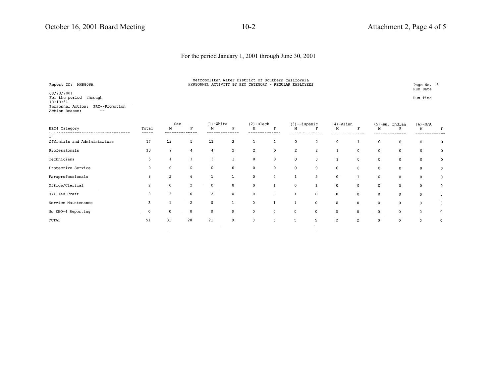| Metropolitan Water District of Southern California     |  |  |  |  |  |  |
|--------------------------------------------------------|--|--|--|--|--|--|
| PERSONNEL ACTIVITY BY EEO CATEGORY - REGULAR EMPLOYEES |  |  |  |  |  |  |

Page No. 5<br>Run Date

Run Time

08/23/2001<br>For the period through<br>13:19:51 Personnel Action: PRO--Promotion Action Reason:  $\sim$  100  $\pm$ 

Report ID: MHR808A

| EEO4 Category                | Total       | Sex<br>М       |                | $(1)$ -White<br>M |                | $(2)$ -Black<br>M | $\mathbf{F}$   | (3)-Hispanic<br>М |                | $(4)$ -Asian<br>М | F              | М           | $(5)$ -Am. Indian<br>F | $(6) - N/A$<br>M |              |
|------------------------------|-------------|----------------|----------------|-------------------|----------------|-------------------|----------------|-------------------|----------------|-------------------|----------------|-------------|------------------------|------------------|--------------|
|                              | ------      |                |                |                   |                |                   |                |                   |                |                   |                |             |                        | -------          |              |
| Officials and Administrators | 17          | 12             | $5 -$          | 11                | 3              |                   |                | $\circ$           | $\mathbf 0$    | $\mathbf 0$       |                | 0           | $\mathbf 0$            | 0                |              |
| Professionals                | 13          | 9              |                |                   | $\overline{2}$ | $\overline{2}$    | $\mathbf 0$    | $\overline{c}$    | $\overline{c}$ | ı                 | 0              | 0           | $\mathbf 0$            | $\mathbf 0$      | 0            |
| Technicians                  |             |                |                |                   |                | $\mathbf 0$       | $\mathbf 0$    | 0                 | 0              | 1                 | $\mathbf 0$    | 0           | 0                      | $\mathbf 0$      | 0            |
| Protective Service           |             | $\circ$        | 0              | $\circ$           | $\mathbf 0$    | $\circ$           | $\mathbf{0}$   | 0                 | $\mathbf 0$    | $\mathbf 0$       | $\mathbf 0$    | $\mathbf 0$ | $\mathbf 0$            | $^{\circ}$       | 0            |
| Paraprofessionals            | 8           | $\overline{c}$ | 6              |                   |                | $\circ$           | $\overline{c}$ | $\mathbf{1}$      | 2              | $\mathbf{0}$      | $\mathbf{1}$   | $\circ$     | $^{\circ}$             | $^{\circ}$       | $\mathbf{0}$ |
| Office/Clerical              |             | $\mathbf{0}$   | $\overline{2}$ | $\Omega$          | $\mathbf 0$    | $\mathbf 0$       |                | $\circ$           |                | $\Omega$          | $\circ$        | $\mathbf 0$ | 0                      | $\circ$          | 0            |
| Skilled Craft                |             | 3              | $\Omega$       | 2                 | $\mathbf{0}$   | $\circ$           | $\mathbf 0$    |                   | $\mathbf 0$    | $\mathbf 0$       | $\Omega$       | $\Omega$    | 0                      | 0                | 0            |
| Service Maintenance          |             |                | $\mathfrak{D}$ | $\Omega$          |                | $\mathbf{0}$      |                |                   | $\mathbf 0$    | $\mathbf 0$       | $\mathbf 0$    | 0           | 0                      | $\mathbf 0$      | $\mathbf 0$  |
| No EEO-4 Reporting           | $\mathbf 0$ | $\mathbf 0$    | $^{\circ}$     | $\mathbf 0$       | $\mathbf 0$    | $\mathbf 0$       | $\mathbf 0$    | $\mathsf{O}$      | 0              | 0                 | $\mathbf 0$    | $\mathbf 0$ | $\Omega$               | $\mathbf{0}$     | 0            |
| TOTAL                        | 51          | 31             | 20             | 21                | 8              | 3                 | 5              | 5                 | 5              | 2                 | $\overline{c}$ | $\Omega$    |                        | 0                | 0            |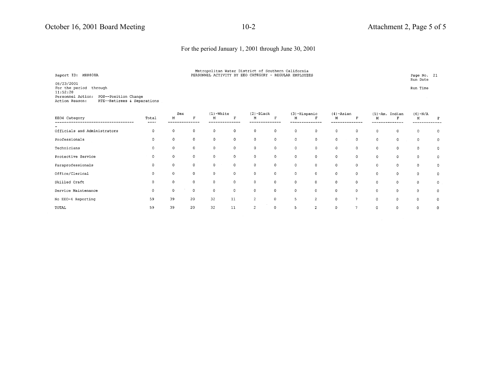| Report ID: MHR808A                                                                                  | Metropolitan Water District of Southern California<br>PERSONNEL ACTIVITY BY EEO CATEGORY - REGULAR EMPLOYEES |          |  |  |  |                      |  |  |  |  |
|-----------------------------------------------------------------------------------------------------|--------------------------------------------------------------------------------------------------------------|----------|--|--|--|----------------------|--|--|--|--|
| 08/23/2001<br>For the period through                                                                |                                                                                                              |          |  |  |  | Run Date<br>Run Time |  |  |  |  |
| 11:52:28<br>Personnel Action: POS--Position Change<br>Action Reason:<br>RTE--Retirees & Separations |                                                                                                              |          |  |  |  |                      |  |  |  |  |
|                                                                                                     |                                                                                                              | $\cdots$ |  |  |  |                      |  |  |  |  |

|                              |               | ಎರಗ         |          | $1 + 7 - 2$<br>$(2)$ -bidCK |              |                | (5) -nispanic         |                     | $(4)$ -ASI dil |              | (b)-Am. Indian |              | $(0) - N/A$ |              |              |
|------------------------------|---------------|-------------|----------|-----------------------------|--------------|----------------|-----------------------|---------------------|----------------|--------------|----------------|--------------|-------------|--------------|--------------|
| EE04 Category                | Total<br>---- | M           |          | М                           | $\mathbf{r}$ | M              | $\boldsymbol{\Sigma}$ | М                   | Е              | М            | Ð              |              | п           | M            |              |
|                              |               |             |          |                             |              |                |                       |                     |                |              |                |              |             |              |              |
| Officials and Administrators |               |             | $\Omega$ | $\mathbf{0}$                | $\mathbf 0$  | $\mathbf 0$    | 0                     | $\circ$             | $\mathbf{0}$   | 0            | $\mathbf 0$    |              | 0           | 0            | $\circ$      |
| Professionals                |               |             | $\Omega$ | 0                           | $\circ$      | 0              | $\circ$               | $\circ$             | 0              | $\mathbf 0$  | $\mathbf{0}$   | 0            | 0           | $\circ$      | $\mathbf{0}$ |
| Technicians                  | $\Omega$      | $\Omega$    | 0        | 0                           | $\circ$      | 0              | 0                     | 0                   | $\overline{0}$ | $\circ$      | $\mathbf{0}$   | $\mathbf{0}$ | 0           | $\Omega$     | $\mathbf 0$  |
| Protective Service           | $\Omega$      | 0           | $\Omega$ | $\mathbf 0$                 | $\circ$      | 0              | 0                     | $\mathbf 0$         | $\mathbf 0$    | $\circ$      | $\circ$        | $\mathbf 0$  | 0           | $\circ$      | $\circ$      |
| Paraprofessionals            | 0             |             |          | $^{\circ}$                  | $\circ$      | $\mathbf 0$    | 0                     | $\ddot{\mathbf{0}}$ | $\mathbf 0$    | 0            | $\mathbf 0$    | $\circ$      | 0           | $\mathbf{0}$ | $\circ$      |
| Office/Clerical              | $\Omega$      |             | 0        | $\circ$                     | $\circ$      | $\overline{0}$ | $\circ$               | $\mathbf{0}$        | $\mathbf 0$    | 0            | $\circ$        | $\circ$      | $\circ$     | $\mathbf{0}$ | $\circ$      |
| Skilled Craft                | 0             |             | $\circ$  | $\circ$                     | $\mathbf 0$  | $\mathbf 0$    | $\mathbf 0$           | $\mathbf 0$         | $\circ$        | $\mathbf{0}$ | $\mathbf{0}$   | 0            | $\circ$     | $\circ$      | $\circ$      |
| Service Maintenance          | $\mathbf 0$   | $\mathbf 0$ | 0        | $\circ$                     | $\mathbf 0$  | $\mathbf 0$    | $\mathbf 0$           | $\circ$             | $\mathbf 0$    | $\mathbf 0$  | $\Omega$       | $\mathbf 0$  | 0           | $\circ$      | $\mathbf 0$  |
| No EEO-4 Reporting           | 59            | 39          | 20       | 32                          | 11           | $\overline{c}$ | 0                     | 5                   | 2              | $\mathbf 0$  |                | 0            | 0           | 0            | $\circ$      |
| TOTAL                        | 59            | 39          | 20       | 32                          | 11           | $\overline{c}$ | 0                     | 5                   | $\overline{c}$ | $\mathbf 0$  |                | 0            | $\Omega$    | $\Omega$     | 0            |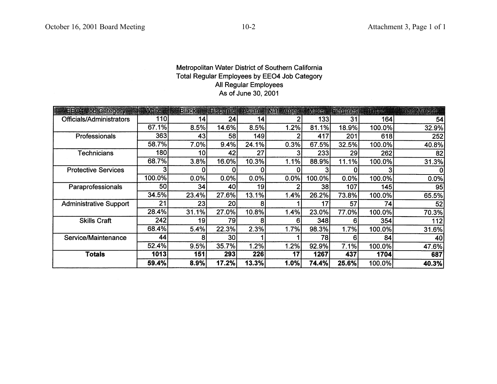## Metropolitan Water District of Southern California Total Regular Employees by EEO4 Job Category All Regular Employees As of June 30, 2001

| <b>EE04 Job Category</b>      | While  | <b>Black</b> | <b>Hispanie   Asian</b> |                 | Nat Amer | Males  | <b>Females</b> | <u>Ifolais,</u> | <b>Iotal Minority</b> |
|-------------------------------|--------|--------------|-------------------------|-----------------|----------|--------|----------------|-----------------|-----------------------|
| Officials/Administrators      | 110    | 14           | 24                      | 14              |          | 133    | 31             | 164             | 54                    |
|                               | 67.1%  | 8.5%         | 14.6%                   | 8.5%            | 1.2%     | 81.1%  | 18.9%          | 100.0%          | 32.9%                 |
| Professionals                 | 363    | 43           | 58                      | 149             |          | 417    | 201            | 618             | 252                   |
|                               | 58.7%  | 7.0%         | 9.4%                    | 24.1%           | 0.3%     | 67.5%  | 32.5%          | 100.0%          | 40.8%                 |
| <b>Technicians</b>            | 180l   | 10           | 42                      | 27              |          | 233    | 29             | 262             | 82                    |
|                               | 68.7%  | 3.8%         | 16.0%                   | 10.3%           | 1.1%     | 88.9%  | 11.1%          | 100.0%          | 31.3%                 |
| <b>Protective Services</b>    |        |              | 0                       |                 |          |        |                |                 |                       |
|                               | 100.0% | 0.0%         | 0.0%                    | 0.0%            | 0.0%     | 100.0% | 0.0%           | 100.0%          | 0.0%                  |
| Paraprofessionals             | 50     | 34           | 40                      | 19 <sub>1</sub> |          | 38     | 107            | 145             | 95                    |
|                               | 34.5%  | 23.4%        | 27.6%                   | 13.1%           | 1.4%     | 26.2%  | 73.8%          | 100.0%          | 65.5%                 |
| <b>Administrative Support</b> | 21     | 23           | 20 <sup>2</sup>         |                 |          |        | 57             | 74              | 52                    |
|                               | 28.4%  | 31.1%        | 27.0%                   | 10.8%           | 1.4%     | 23.0%  | 77.0%          | 100.0%          | 70.3%                 |
| <b>Skills Craft</b>           | 242    | 19           | 79                      |                 |          | 348    | 6              | 354             | 112                   |
|                               | 68.4%  | 5.4%         | 22.3%                   | 2.3%            | 1.7%     | 98.3%  | 1.7%           | 100.0%          | 31.6%                 |
| Service/Maintenance           | 44     |              | 30                      |                 |          | 78     | 6              | 84              | 40                    |
|                               | 52.4%  | 9.5%         | 35.7%                   | 1.2%            | 1.2%     | 92.9%  | 7.1%           | 100.0%          | 47.6%                 |
| <b>Totals</b>                 | 1013   | 151          | 293                     | 226             | 17       | 1267   | 437            | 1704            | 687                   |
|                               | 59.4%  | 8.9%         | 17.2%                   | 13.3%           | 1.0%     | 74.4%  | 25.6%          | 100.0%          | 40.3%                 |